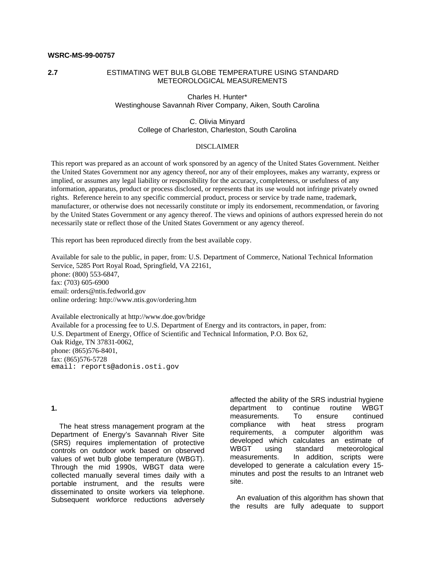# **WSRC-MS-99-00757**

# **2.7** ESTIMATING WET BULB GLOBE TEMPERATURE USING STANDARD METEOROLOGICAL MEASUREMENTS

Charles H. Hunter\* Westinghouse Savannah River Company, Aiken, South Carolina

### C. Olivia Minyard College of Charleston, Charleston, South Carolina

#### DISCLAIMER

This report was prepared as an account of work sponsored by an agency of the United States Government. Neither the United States Government nor any agency thereof, nor any of their employees, makes any warranty, express or implied, or assumes any legal liability or responsibility for the accuracy, completeness, or usefulness of any information, apparatus, product or process disclosed, or represents that its use would not infringe privately owned rights. Reference herein to any specific commercial product, process or service by trade name, trademark, manufacturer, or otherwise does not necessarily constitute or imply its endorsement, recommendation, or favoring by the United States Government or any agency thereof. The views and opinions of authors expressed herein do not necessarily state or reflect those of the United States Government or any agency thereof.

This report has been reproduced directly from the best available copy.

Available for sale to the public, in paper, from: U.S. Department of Commerce, National Technical Information Service, 5285 Port Royal Road, Springfield, VA 22161, phone: (800) 553-6847, fax: (703) 605-6900 email: orders@ntis.fedworld.gov online ordering: http://www.ntis.gov/ordering.htm

Available electronically at http://www.doe.gov/bridge Available for a processing fee to U.S. Department of Energy and its contractors, in paper, from: U.S. Department of Energy, Office of Scientific and Technical Information, P.O. Box 62, Oak Ridge, TN 37831-0062, phone: (865)576-8401, fax: (865)576-5728 email: reports@adonis.osti.gov

#### **1.**

 The heat stress management program at the Department of Energy's Savannah River Site (SRS) requires implementation of protective controls on outdoor work based on observed values of wet bulb globe temperature (WBGT). Through the mid 1990s, WBGT data were collected manually several times daily with a portable instrument, and the results were disseminated to onsite workers via telephone. Subsequent workforce reductions adversely affected the ability of the SRS industrial hygiene department to continue routine WBGT measurements. To ensure continued compliance with heat stress program requirements, a computer algorithm was developed which calculates an estimate of WBGT using standard meteorological measurements. In addition, scripts were developed to generate a calculation every 15 minutes and post the results to an Intranet web site.

 An evaluation of this algorithm has shown that the results are fully adequate to support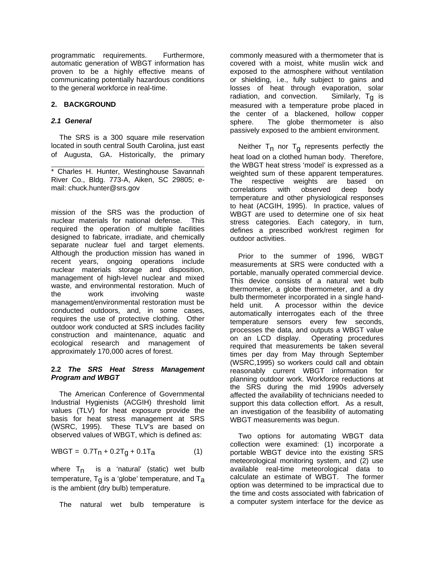programmatic requirements. Furthermore, automatic generation of WBGT information has proven to be a highly effective means of communicating potentially hazardous conditions to the general workforce in real-time.

# **2. BACKGROUND**

# *2.1 General*

 The SRS is a 300 square mile reservation located in south central South Carolina, just east of Augusta, GA. Historically, the primary

 \* Charles H. Hunter, Westinghouse Savannah River Co., Bldg. 773-A, Aiken, SC 29805; email: chuck.hunter@srs.gov

mission of the SRS was the production of nuclear materials for national defense. This required the operation of multiple facilities designed to fabricate, irradiate, and chemically separate nuclear fuel and target elements. Although the production mission has waned in recent years, ongoing operations include nuclear materials storage and disposition, management of high-level nuclear and mixed waste, and environmental restoration. Much of the work involving waste management/environmental restoration must be conducted outdoors, and, in some cases, requires the use of protective clothing. Other outdoor work conducted at SRS includes facility construction and maintenance, aquatic and ecological research and management of approximately 170,000 acres of forest.

### **2.2** *The SRS Heat Stress Management Program and WBGT*

 The American Conference of Governmental Industrial Hygienists (ACGIH) threshold limit values (TLV) for heat exposure provide the basis for heat stress management at SRS (WSRC, 1995). These TLV's are based on observed values of WBGT, which is defined as:

$$
WBGT = 0.7Tn + 0.2Tg + 0.1Ta
$$
 (1)

where  $T_n$  is a 'natural' (static) wet bulb temperature,  $T_g$  is a 'globe' temperature, and  $T_a$ is the ambient (dry bulb) temperature.

The natural wet bulb temperature is

commonly measured with a thermometer that is covered with a moist, white muslin wick and exposed to the atmosphere without ventilation or shielding, i.e., fully subject to gains and losses of heat through evaporation, solar radiation, and convection. Similarly,  $T_q$  is measured with a temperature probe placed in the center of a blackened, hollow copper sphere. The globe thermometer is also passively exposed to the ambient environment.

Neither  $T_{\sf n}$  nor  $T_{\sf g}$  represents perfectly the heat load on a clothed human body. Therefore, the WBGT heat stress 'model' is expressed as a weighted sum of these apparent temperatures. The respective weights are based on correlations with observed deep body temperature and other physiological responses to heat (ACGIH, 1995). In practice, values of WBGT are used to determine one of six heat stress categories. Each category, in turn, defines a prescribed work/rest regimen for outdoor activities.

 Prior to the summer of 1996, WBGT measurements at SRS were conducted with a portable, manually operated commercial device. This device consists of a natural wet bulb thermometer, a globe thermometer, and a dry bulb thermometer incorporated in a single handheld unit. A processor within the device automatically interrogates each of the three temperature sensors every few seconds, processes the data, and outputs a WBGT value on an LCD display. Operating procedures required that measurements be taken several times per day from May through September (WSRC,1995) so workers could call and obtain reasonably current WBGT information for planning outdoor work. Workforce reductions at the SRS during the mid 1990s adversely affected the availability of technicians needed to support this data collection effort. As a result, an investigation of the feasibility of automating WBGT measurements was begun.

 Two options for automating WBGT data collection were examined: (1) incorporate a portable WBGT device into the existing SRS meteorological monitoring system, and (2) use available real-time meteorological data to calculate an estimate of WBGT. The former option was determined to be impractical due to the time and costs associated with fabrication of a computer system interface for the device as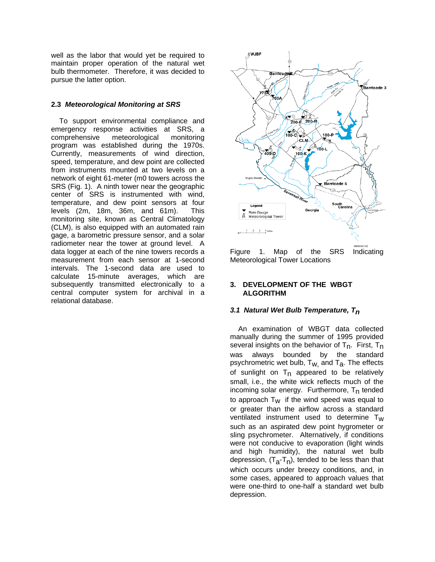well as the labor that would yet be required to maintain proper operation of the natural wet bulb thermometer. Therefore, it was decided to pursue the latter option.

# **2.3** *Meteorological Monitoring at SRS*

 To support environmental compliance and emergency response activities at SRS, a comprehensive meteorological monitoring program was established during the 1970s. Currently, measurements of wind direction, speed, temperature, and dew point are collected from instruments mounted at two levels on a network of eight 61-meter (m0 towers across the SRS (Fig. 1). A ninth tower near the geographic center of SRS is instrumented with wind, temperature, and dew point sensors at four levels (2m, 18m, 36m, and 61m). This monitoring site, known as Central Climatology (CLM), is also equipped with an automated rain gage, a barometric pressure sensor, and a solar radiometer near the tower at ground level. A data logger at each of the nine towers records a measurement from each sensor at 1-second intervals. The 1-second data are used to calculate 15-minute averages, which are subsequently transmitted electronically to a central computer system for archival in a relational database.



Figure 1. Map of the SRS Indicating Meteorological Tower Locations

# **3. DEVELOPMENT OF THE WBGT ALGORITHM**

### *3.1 Natural Wet Bulb Temperature, Tn*

 An examination of WBGT data collected manually during the summer of 1995 provided several insights on the behavior of  $T_n$ . First,  $T_n$ was always bounded by the standard psychrometric wet bulb,  $T_{W}$  and  $T_{a}$ . The effects of sunlight on  $T_n$  appeared to be relatively small, i.e., the white wick reflects much of the incoming solar energy. Furthermore,  $T_n$  tended to approach  $T_W$  if the wind speed was equal to or greater than the airflow across a standard ventilated instrument used to determine  $T_w$ such as an aspirated dew point hygrometer or sling psychrometer. Alternatively, if conditions were not conducive to evaporation (light winds and high humidity), the natural wet bulb depression, (T<sub>a</sub>-T<sub>n</sub>), tended to be less than that which occurs under breezy conditions, and, in some cases, appeared to approach values that were one-third to one-half a standard wet bulb depression.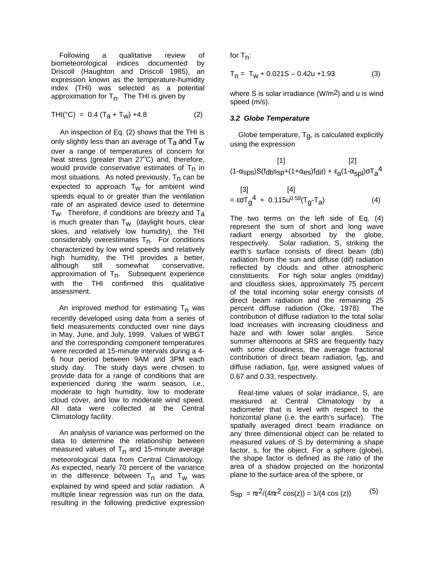Following a qualitative review of biometeorological indices documented by Driscoll (Haughton and Driscoll 1985), an expression known as the temperature-humidity index (THI) was selected as a potential approximation for T<sub>n</sub>. The THI is given by

$$
THI(^{\circ}C) = 0.4 (Ta + TW) + 4.8
$$
 (2)

 An inspection of Eq. (2) shows that the THI is only slightly less than an average of  $T_a$  and  $T_w$ over a range of temperatures of concern for heat stress (greater than  $27^{\circ}$ C) and, therefore, would provide conservative estimates of  $T<sub>n</sub>$  in most situations. As noted previously,  $T_n$  can be expected to approach  $T_W$  for ambient wind speeds equal to or greater than the ventilation rate of an aspirated device used to determine  $T_W$ . Therefore, if conditions are breezy and  $T_A$ is much greater than  $T_W$  (daylight hours, clear skies, and relatively low humidity), the THI considerably overestimates  $T<sub>n</sub>$ . For conditions characterized by low wind speeds and relatively high humidity, the THI provides a better, although still somewhat conservative, approximation of  $T_n$ . Subsequent experience with the THI confirmed this qualitative assessment.

An improved method for estimating  $T_n$  was recently developed using data from a series of field measurements conducted over nine days in May, June, and July, 1999. Values of WBGT and the corresponding component temperatures were recorded at 15-minute intervals during a 4- 6 hour period between 9AM and 3PM each study day. The study days were chosen to provide data for a range of conditions that are experienced during the warm season, i.e., moderate to high humidity, low to moderate cloud cover, and low to moderate wind speed. All data were collected at the Central Climatology facility.

 An analysis of variance was performed on the data to determine the relationship between measured values of T<sub>n</sub> and 15-minute average meteorological data from Central Climatology. As expected, nearly 70 percent of the variance in the difference between  $\mathsf{T}_{\mathsf{n}}$  and  $\mathsf{T}_{\mathsf{w}}$  was explained by wind speed and solar radiation. A multiple linear regression was run on the data, resulting in the following predictive expression

for T<sub>n</sub>:

$$
T_n = T_w + 0.021S - 0.42u + 1.93
$$
 (3)

where S is solar irradiance ( $W/m<sup>2</sup>$ ) and u is wind speed (m/s).

## *3.2 Globe Temperature*

Globe temperature,  $T_q$ , is calculated explicitly using the expression

$$
\begin{array}{c}\n[1] \quad [2] \quad \text{(1-}\alpha_{\text{sps}})S(f_{\text{db}}s_{\text{sp}+}(1+\alpha_{\text{es}})f_{\text{dif}})+\varepsilon_{\text{a}}(1-\alpha_{\text{spl}})\sigma T_{\text{a}}{}^{4}\n\end{array}
$$

$$
[3] [4]= \varepsilon \sigma T_g^4 + 0.115u^{0.58}(T_g - T_a)
$$
 (4)

The two terms on the left side of Eq. (4) represent the sum of short and long wave radiant energy absorbed by the globe, respectively. Solar radiation, S, striking the earth's surface consists of direct beam (db) radiation from the sun and diffuse (dif) radiation reflected by clouds and other atmospheric constituents. For high solar angles (midday) and cloudless skies, approximately 75 percent of the total incoming solar energy consists of direct beam radiation and the remaining 25 percent diffuse radiation (Oke, 1978). The contribution of diffuse radiation to the total solar load increases with increasing cloudiness and haze and with lower solar angles. Since summer afternoons at SRS are frequently hazy with some cloudiness, the average fractional contribution of direct beam radiation, f<sub>db</sub>, and diffuse radiation, fdif, were assigned values of 0.67 and 0.33, respectively.

 Real-time values of solar irradiance, S, are measured at Central Climatology by a radiometer that is level with respect to the horizontal plane (i.e. the earth's surface). The spatially averaged direct beam irradiance on any three dimensional object can be related to measured values of S by determining a shape factor, s, for the object. For a sphere (globe), the shape factor is defined as the ratio of the area of a shadow projected on the horizontal plane to the surface area of the sphere, or

$$
S_{\rm SD} = \pi r^2 / (4\pi r^2 \cos(z)) = 1 / (4 \cos(z)) \tag{5}
$$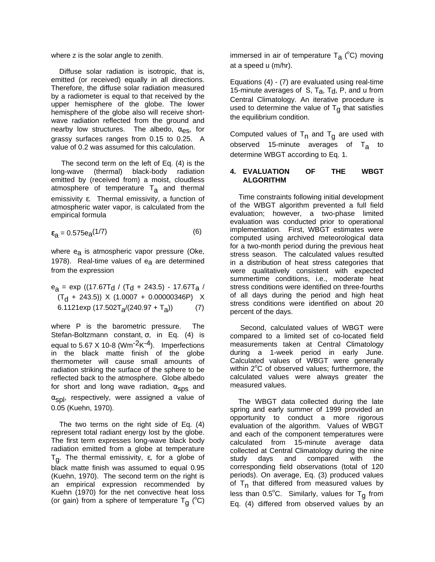where z is the solar angle to zenith.

 Diffuse solar radiation is isotropic, that is, emitted (or received) equally in all directions. Therefore, the diffuse solar radiation measured by a radiometer is equal to that received by the upper hemisphere of the globe. The lower hemisphere of the globe also will receive shortwave radiation reflected from the ground and nearby low structures. The albedo,  $\alpha_{\text{es}}$ , for grassy surfaces ranges from 0.15 to 0.25. A value of 0.2 was assumed for this calculation.

 The second term on the left of Eq. (4) is the long-wave (thermal) black-body radiation emitted by (received from) a moist, cloudless atmosphere of temperature T<sub>a</sub> and thermal emissivity ε. Thermal emissivity, a function of atmospheric water vapor, is calculated from the empirical formula

$$
\varepsilon_{\mathbf{a}} = 0.575 \mathbf{e}_{\mathbf{a}}(1/7) \tag{6}
$$

where  $e_{a}$  is atmospheric vapor pressure (Oke, 1978). Real-time values of  $e_a$  are determined from the expression

$$
e_{a} = \exp ((17.67T_{d} / (T_{d} + 243.5) - 17.67T_{a} / (T_{d} + 243.5)) \times (1.0007 + 0.00000346P) \times (6.1121 \exp (17.502T_{a}/(240.97 + T_{a})) \tag{7}
$$

where P is the barometric pressure. The Stefan-Boltzmann constant, σ, in Eq. (4) is equal to 5.67 X 10-8 (Wm<sup>-2</sup>K<sup>-4</sup>). Imperfections in the black matte finish of the globe thermometer will cause small amounts of radiation striking the surface of the sphere to be reflected back to the atmosphere. Globe albedo for short and long wave radiation,  $\alpha_{\text{SDS}}$  and  $\alpha_{\rm sol}$ , respectively, were assigned a value of 0.05 (Kuehn, 1970).

 The two terms on the right side of Eq. (4) represent total radiant energy lost by the globe. The first term expresses long-wave black body radiation emitted from a globe at temperature Tg . The thermal emissivity, ε, for a globe of black matte finish was assumed to equal 0.95 (Kuehn, 1970). The second term on the right is an empirical expression recommended by Kuehn (1970) for the net convective heat loss (or gain) from a sphere of temperature T<sub>g</sub> ( $^{\circ}$ C)

immersed in air of temperature T<sub>a</sub> (°C) moving at a speed u (m/hr).

Equations (4) - (7) are evaluated using real-time 15-minute averages of S,  $T_a$ ,  $T_d$ , P, and u from Central Climatology. An iterative procedure is used to determine the value of  $T<sub>g</sub>$  that satisfies the equilibrium condition.

Computed values of  $\mathsf{T}_{\mathsf{n}}$  and  $\mathsf{T}_{\mathsf{g}}$  are used with observed 15-minute averages of  $T_a$  to determine WBGT according to Eq. 1.

## **4. EVALUATION OF THE WBGT ALGORITHM**

 Time constraints following initial development of the WBGT algorithm prevented a full field evaluation; however, a two-phase limited evaluation was conducted prior to operational implementation. First, WBGT estimates were computed using archived meteorological data for a two-month period during the previous heat stress season. The calculated values resulted in a distribution of heat stress categories that were qualitatively consistent with expected summertime conditions, i.e., moderate heat stress conditions were identified on three-fourths of all days during the period and high heat stress conditions were identified on about 20 percent of the days.

 Second, calculated values of WBGT were compared to a limited set of co-located field measurements taken at Central Climatology during a 1-week period in early June. Calculated values of WBGT were generally within  $2^{\circ}$ C of observed values; furthermore, the calculated values were always greater the measured values.

 The WBGT data collected during the late spring and early summer of 1999 provided an opportunity to conduct a more rigorous evaluation of the algorithm. Values of WBGT and each of the component temperatures were calculated from 15-minute average data collected at Central Climatology during the nine study days and compared with the corresponding field observations (total of 120 periods). On average, Eq. (3) produced values of T<sub>n</sub> that differed from measured values by less than 0.5°C. Similarly, values for T<sub>g</sub> from Eq. (4) differed from observed values by an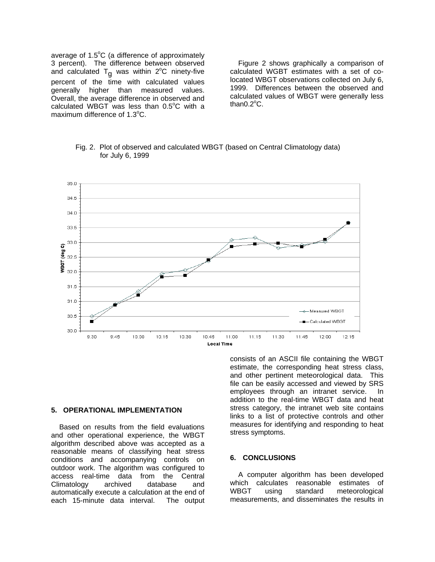average of  $1.5^{\circ}$ C (a difference of approximately 3 percent). The difference between observed and calculated  ${\sf T}_{\sf g}$  was within 2°C ninety-five percent of the time with calculated values generally higher than measured values. Overall, the average difference in observed and calculated WBGT was less than  $0.5^{\circ}$ C with a maximum difference of  $1.3^{\circ}$ C.

 Figure 2 shows graphically a comparison of calculated WGBT estimates with a set of colocated WBGT observations collected on July 6, 1999. Differences between the observed and calculated values of WBGT were generally less than $0.2^{\circ}$ C.

Fig. 2. Plot of observed and calculated WBGT (based on Central Climatology data) for July 6, 1999



### **5. OPERATIONAL IMPLEMENTATION**

 Based on results from the field evaluations and other operational experience, the WBGT algorithm described above was accepted as a reasonable means of classifying heat stress conditions and accompanying controls on outdoor work. The algorithm was configured to access real-time data from the Central Climatology archived database and automatically execute a calculation at the end of each 15-minute data interval. The output consists of an ASCII file containing the WBGT estimate, the corresponding heat stress class, and other pertinent meteorological data. This file can be easily accessed and viewed by SRS employees through an intranet service. In addition to the real-time WBGT data and heat stress category, the intranet web site contains links to a list of protective controls and other measures for identifying and responding to heat stress symptoms.

#### **6. CONCLUSIONS**

 A computer algorithm has been developed which calculates reasonable estimates of WBGT using standard meteorological measurements, and disseminates the results in